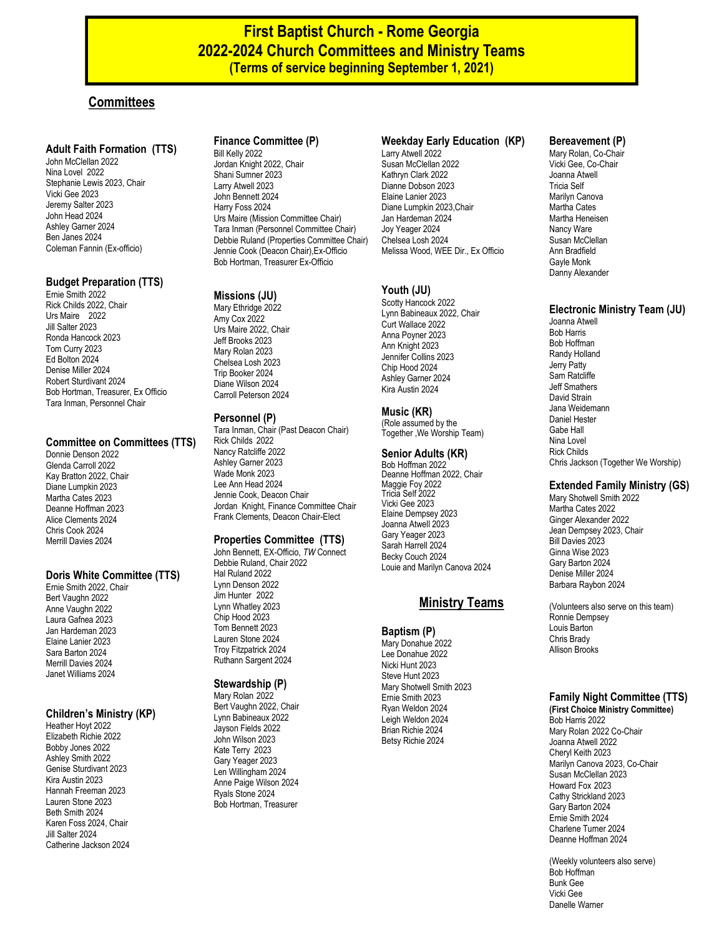# **First Baptist Church - Rome Georgia 2022-2024 Church Committees and Ministry Teams (Terms of service beginning September 1, 2021)**

# **Committees**

#### **Adult Faith Formation (TTS)**

John McClellan 2022 Nina Lovel 2022 Stephanie Lewis 2023, Chair Vicki Gee 2023 Jeremy Salter 2023 John Head 2024 Ashley Garner 2024 Ben Janes 2024 Coleman Fannin (Ex-officio)

### **Budget Preparation (TTS)**

Ernie Smith 2022 Rick Childs 2022, Chair Urs Maire 2022 Jill Salter 2023 Ronda Hancock 2023 Tom Curry 2023 Ed Bolton 2024 Denise Miller 2024 Robert Sturdivant 2024 Bob Hortman, Treasurer, Ex Officio Tara Inman, Personnel Chair

#### **Committee on Committees (TTS)**

Donnie Denson 2022 Glenda Carroll 2022 Kay Bratton 2022, Chair Diane Lumpkin 2023 Martha Cates 2023 Deanne Hoffman 2023 Alice Clements 2024 Chris Cook 2024 Merrill Davies 2024

### **Doris White Committee (TTS)**

Ernie Smith 2022, Chair Bert Vaughn 2022 Anne Vaughn 2022 Laura Gafnea 2023 Jan Hardeman 2023 Elaine Lanier 2023 Sara Barton 2024 Merrill Davies 2024 Janet Williams 2024

### **Children's Ministry (KP)**

Heather Hoyt 2022 Elizabeth Richie 2022 Bobby Jones 2022 Ashley Smith 2022 Genise Sturdivant 2023 Kira Austin 2023 Hannah Freeman 2023 Lauren Stone 2023 Beth Smith 2024 Karen Foss 2024, Chair Jill Salter 2024 Catherine Jackson 2024

# **Finance Committee (P)**

Bill Kelly 2022 Jordan Knight 2022, Chair Shani Sumner 2023 Larry Atwell 2023 John Bennett 2024 Harry Foss 2024 Urs Maire (Mission Committee Chair) Tara Inman (Personnel Committee Chair) Debbie Ruland (Properties Committee Chair) Jennie Cook (Deacon Chair),Ex-Officio Bob Hortman, Treasurer Ex-Officio

### **Missions (JU)**

Mary Ethridge 2022 Amy Cox 2022 Urs Maire 2022, Chair Jeff Brooks 2023 Mary Rolan 2023 Chelsea Losh 2023 Trip Booker 2024 Diane Wilson 2024 Carroll Peterson 2024

#### **Personnel (P)**

Tara Inman, Chair (Past Deacon Chair) Rick Childs 2022 Nancy Ratcliffe 2022 Ashley Garner 2023 Wade Monk 2023 Lee Ann Head 2024 Jennie Cook, Deacon Chair Jordan Knight, Finance Committee Chair Frank Clements, Deacon Chair-Elect

#### **Properties Committee (TTS)**

John Bennett, EX-Officio, *TW* Connect Debbie Ruland, Chair 2022 Hal Ruland 2022 Lynn Denson 2022 Jim Hunter 2022 Lynn Whatley 2023 Chip Hood 2023 Tom Bennett 2023 Lauren Stone 2024 Troy Fitzpatrick 2024 Ruthann Sargent 2024

#### **Stewardship (P)**

Mary Rolan 2022 Bert Vaughn 2022, Chair Lynn Babineaux 2022 Jayson Fields 2022 John Wilson 2023 Kate Terry 2023 Gary Yeager 2023 Len Willingham 2024 Anne Paige Wilson 2024 Ryals Stone 2024 Bob Hortman, Treasurer

#### **Weekday Early Education (KP)**

Larry Atwell 2022 Susan McClellan 2022 Kathryn Clark 2022 Dianne Dobson 2023 Elaine Lanier 2023 Diane Lumpkin 2023,Chair Jan Hardeman 2024 Joy Yeager 2024 Chelsea Losh 2024 Melissa Wood, WEE Dir., Ex Officio

# **Youth (JU)**

Scotty Hancock 2022 Lynn Babineaux 2022, Chair Curt Wallace 2022 Anna Poyner 2023 Ann Knight 2023 Jennifer Collins 2023 Chip Hood 2024 Ashley Garner 2024 Kira Austin 2024

# **Music (KR)**

(Role assumed by the Together ,We Worship Team)

## **Senior Adults (KR)**

Bob Hoffman 2022 Deanne Hoffman 2022, Chair Maggie Foy 2022 Tricia Self 2022 Vicki Gee 2023 Elaine Dempsey 2023 Joanna Atwell 2023 Gary Yeager 2023 Sarah Harrell 2024 Becky Couch 2024 Louie and Marilyn Canova 2024

# **Ministry Teams**

#### **Baptism (P)**

Mary Donahue 2022 Lee Donahue 2022 Nicki Hunt 2023 Steve Hunt 2023 Mary Shotwell Smith 2023 Ernie Smith 2023 Ryan Weldon 2024 Leigh Weldon 2024 Brian Richie 2024 Betsy Richie 2024

### **Bereavement (P)**

Mary Rolan, Co-Chair Vicki Gee, Co-Chair Joanna Atwell Tricia Self Marilyn Canova Martha Cates Martha Heneisen Nancy Ware Susan McClellan Ann Bradfield Gayle Monk Danny Alexander

#### **Electronic Ministry Team (JU)**

Joanna Atwell Bob Harris Bob Hoffman Randy Holland Jerry Patty Sam Ratcliffe Jeff Smathers David Strain Jana Weidemann Daniel Hester Gabe Hall Nina Lovel Rick Childs Chris Jackson (Together We Worship)

### **Extended Family Ministry (GS)**

Mary Shotwell Smith 2022 Martha Cates 2022 Ginger Alexander 2022 Jean Dempsey 2023, Chair Bill Davies 2023 Ginna Wise 2023 Gary Barton 2024 Denise Miller 2024 Barbara Raybon 2024

(Volunteers also serve on this team) Ronnie Dempsey Louis Barton Chris Brady Allison Brooks

# **Family Night Committee (TTS)**

**(First Choice Ministry Committee)** Bob Harris 2022 Mary Rolan 2022 Co-Chair Joanna Atwell 2022 Cheryl Keith 2023 Marilyn Canova 2023, Co-Chair Susan McClellan 2023 Howard Fox 2023 Cathy Strickland 2023 Gary Barton 2024 Ernie Smith 2024 Charlene Turner 2024 Deanne Hoffman 2024

(Weekly volunteers also serve) Bob Hoffman Bunk Gee Vicki Gee Danelle Warner